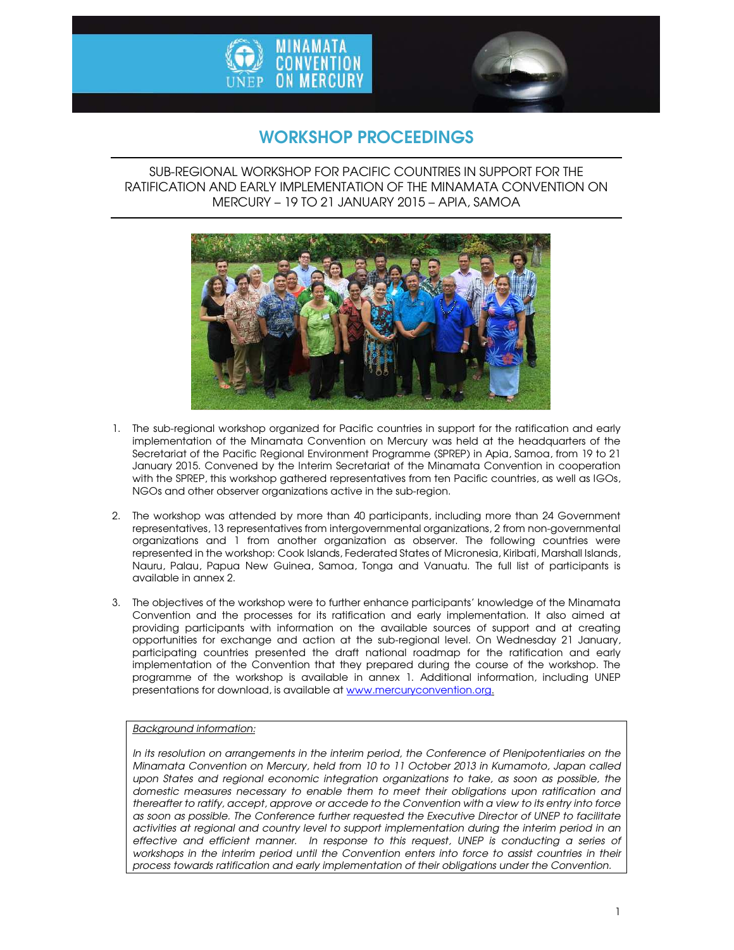



# WORKSHOP PROCEEDINGS

### SUB-REGIONAL WORKSHOP FOR PACIFIC COUNTRIES IN SUPPORT FOR THE RATIFICATION AND EARLY IMPLEMENTATION OF THE MINAMATA CONVENTION ON MERCURY – 19 TO 21 JANUARY 2015 – APIA, SAMOA



- 1. The sub-regional workshop organized for Pacific countries in support for the ratification and early implementation of the Minamata Convention on Mercury was held at the headquarters of the Secretariat of the Pacific Regional Environment Programme (SPREP) in Apia, Samoa, from 19 to 21 January 2015. Convened by the Interim Secretariat of the Minamata Convention in cooperation with the SPREP, this workshop gathered representatives from ten Pacific countries, as well as IGOs, NGOs and other observer organizations active in the sub-region.
- 2. The workshop was attended by more than 40 participants, including more than 24 Government representatives, 13 representatives from intergovernmental organizations, 2 from non-governmental organizations and 1 from another organization as observer. The following countries were represented in the workshop: Cook Islands, Federated States of Micronesia, Kiribati, Marshall Islands, Nauru, Palau, Papua New Guinea, Samoa, Tonga and Vanuatu. The full list of participants is available in annex 2.
- 3. The objectives of the workshop were to further enhance participants' knowledge of the Minamata Convention and the processes for its ratification and early implementation. It also aimed at providing participants with information on the available sources of support and at creating opportunities for exchange and action at the sub-regional level. On Wednesday 21 January, participating countries presented the draft national roadmap for the ratification and early implementation of the Convention that they prepared during the course of the workshop. The programme of the workshop is available in annex 1. Additional information, including UNEP presentations for download, is available at www.mercuryconvention.org.

#### *Background information:*

*In its resolution on arrangements in the interim period, the Conference of Plenipotentiaries on the Minamata Convention on Mercury, held from 10 to 11 October 2013 in Kumamoto, Japan called*  upon States and regional economic integration organizations to take, as soon as possible, the *domestic measures necessary to enable them to meet their obligations upon ratification and thereafter to ratify, accept, approve or accede to the Convention with a view to its entry into force as soon as possible. The Conference further requested the Executive Director of UNEP to facilitate activities at regional and country level to support implementation during the interim period in an effective and efficient manner. In response to this request, UNEP is conducting a series of*  workshops in the interim period until the Convention enters into force to assist countries in their *process towards ratification and early implementation of their obligations under the Convention.*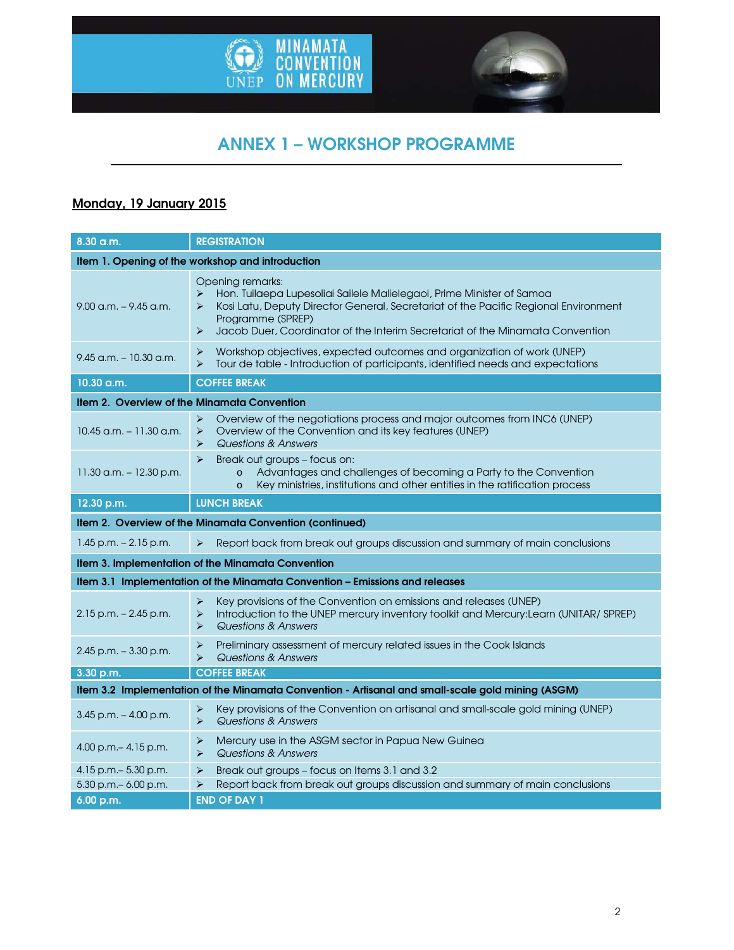



# ANNEX 1 – WORKSHOP PROGRAMME

# Monday, 19 January 2015

| 8.30 a.m.                                                                                         | <b>REGISTRATION</b>                                                                                                                                                                                                                                                                                                                           |  |
|---------------------------------------------------------------------------------------------------|-----------------------------------------------------------------------------------------------------------------------------------------------------------------------------------------------------------------------------------------------------------------------------------------------------------------------------------------------|--|
| Item 1. Opening of the workshop and introduction                                                  |                                                                                                                                                                                                                                                                                                                                               |  |
| $9.00$ a.m. $-9.45$ a.m.                                                                          | Opening remarks:<br>$\blacktriangleright$<br>Hon. Tuilaepa Lupesoliai Sailele Malielegaoi, Prime Minister of Samoa<br>Kosi Latu, Deputy Director General, Secretariat of the Pacific Regional Environment<br>➤<br>Programme (SPREP)<br>Jacob Duer, Coordinator of the Interim Secretariat of the Minamata Convention<br>$\blacktriangleright$ |  |
| $9.45$ a.m. $-10.30$ a.m.                                                                         | Workshop objectives, expected outcomes and organization of work (UNEP)<br>⋗<br>Tour de table - Introduction of participants, identified needs and expectations<br>$\blacktriangleright$                                                                                                                                                       |  |
| 10.30 a.m.                                                                                        | <b>COFFEE BREAK</b>                                                                                                                                                                                                                                                                                                                           |  |
| <b>Item 2. Overview of the Minamata Convention</b>                                                |                                                                                                                                                                                                                                                                                                                                               |  |
| $10.45$ a.m. $-11.30$ a.m.                                                                        | $\blacktriangleright$<br>Overview of the negotiations process and major outcomes from INC6 (UNEP)<br>Overview of the Convention and its key features (UNEP)<br>➤<br>$\blacktriangleright$<br>Questions & Answers                                                                                                                              |  |
| 11.30 a.m. $-$ 12.30 p.m.                                                                         | $\blacktriangleright$<br>Break out groups - focus on:<br>Advantages and challenges of becoming a Party to the Convention<br>$\circ$<br>Key ministries, institutions and other entities in the ratification process<br>$\circ$                                                                                                                 |  |
| 12.30 p.m.                                                                                        | <b>LUNCH BREAK</b>                                                                                                                                                                                                                                                                                                                            |  |
| Item 2. Overview of the Minamata Convention (continued)                                           |                                                                                                                                                                                                                                                                                                                                               |  |
| $1.45$ p.m. $- 2.15$ p.m.                                                                         | Report back from break out groups discussion and summary of main conclusions<br>$\blacktriangleright$                                                                                                                                                                                                                                         |  |
|                                                                                                   | Item 3. Implementation of the Minamata Convention                                                                                                                                                                                                                                                                                             |  |
| Item 3.1 Implementation of the Minamata Convention - Emissions and releases                       |                                                                                                                                                                                                                                                                                                                                               |  |
| $2.15$ p.m. $- 2.45$ p.m.                                                                         | Key provisions of the Convention on emissions and releases (UNEP)<br>⋗<br>Introduction to the UNEP mercury inventory toolkit and Mercury:Learn (UNITAR/ SPREP)<br>$\blacktriangleright$<br>Questions & Answers<br>⋗                                                                                                                           |  |
| $2.45$ p.m. $-3.30$ p.m.                                                                          | Preliminary assessment of mercury related issues in the Cook Islands<br>⋗<br>Questions & Answers<br>$\blacktriangleright$                                                                                                                                                                                                                     |  |
| 3.30 p.m.                                                                                         | <b>COFFEE BREAK</b>                                                                                                                                                                                                                                                                                                                           |  |
| Item 3.2 Implementation of the Minamata Convention - Artisanal and small-scale gold mining (ASGM) |                                                                                                                                                                                                                                                                                                                                               |  |
| $3.45$ p.m. $-4.00$ p.m.                                                                          | Key provisions of the Convention on artisanal and small-scale gold mining (UNEP)<br>⋗<br>$\blacktriangleright$<br>Questions & Answers                                                                                                                                                                                                         |  |
| $4.00$ p.m. $- 4.15$ p.m.                                                                         | Mercury use in the ASGM sector in Papua New Guinea<br>⋗<br>$\blacktriangleright$<br>Questions & Answers                                                                                                                                                                                                                                       |  |
| 4.15 p.m. - 5.30 p.m.<br>$5.30$ p.m. $-6.00$ p.m.                                                 | Break out groups - focus on Items 3.1 and 3.2<br>$\blacktriangleright$<br>Report back from break out groups discussion and summary of main conclusions<br>$\blacktriangleright$                                                                                                                                                               |  |
| 6.00 p.m.                                                                                         | <b>END OF DAY 1</b>                                                                                                                                                                                                                                                                                                                           |  |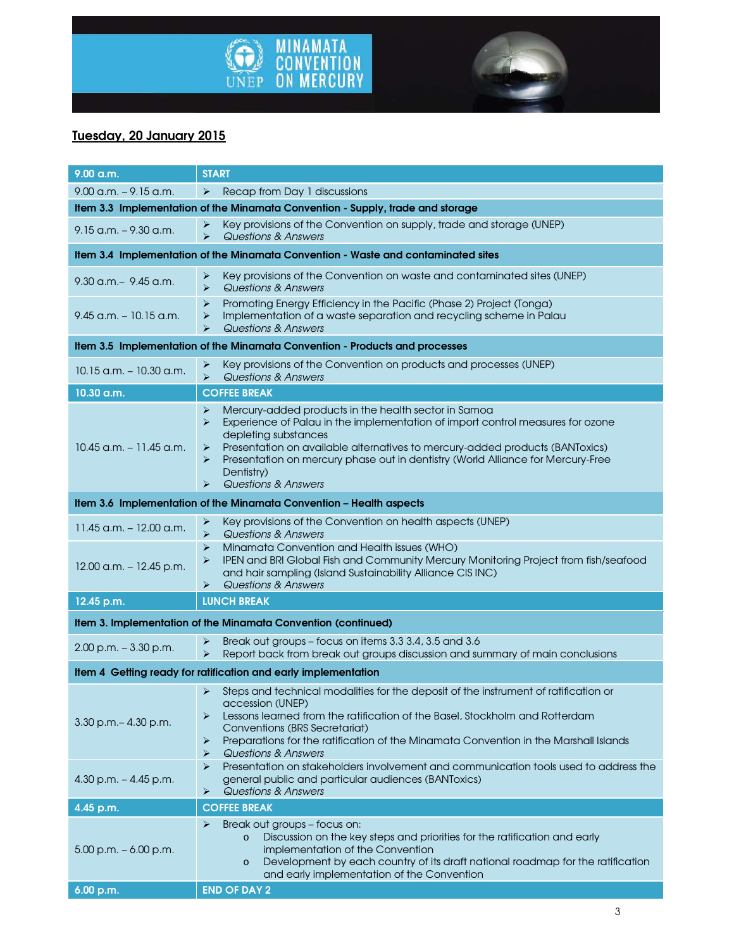



# Tuesday, 20 January 2015

| 9.00 a.m.                                                                         | <b>START</b>                                                                                                                                                                                                                                                                                                                                                                                               |  |
|-----------------------------------------------------------------------------------|------------------------------------------------------------------------------------------------------------------------------------------------------------------------------------------------------------------------------------------------------------------------------------------------------------------------------------------------------------------------------------------------------------|--|
| $9.00$ a.m. $-9.15$ a.m.                                                          | ➤<br>Recap from Day 1 discussions                                                                                                                                                                                                                                                                                                                                                                          |  |
| Item 3.3 Implementation of the Minamata Convention - Supply, trade and storage    |                                                                                                                                                                                                                                                                                                                                                                                                            |  |
| $9.15$ a.m. $-9.30$ a.m.                                                          | Key provisions of the Convention on supply, trade and storage (UNEP)<br>➤<br>$\blacktriangleright$<br>Questions & Answers                                                                                                                                                                                                                                                                                  |  |
| Item 3.4 Implementation of the Minamata Convention - Waste and contaminated sites |                                                                                                                                                                                                                                                                                                                                                                                                            |  |
| 9.30 a.m. - 9.45 a.m.                                                             | Key provisions of the Convention on waste and contaminated sites (UNEP)<br>➤<br>$\blacktriangleright$<br>Questions & Answers                                                                                                                                                                                                                                                                               |  |
| 9.45 a.m. – 10.15 a.m.                                                            | Promoting Energy Efficiency in the Pacific (Phase 2) Project (Tonga)<br>➤<br>Implementation of a waste separation and recycling scheme in Palau<br>$\blacktriangleright$<br>Questions & Answers<br>⋗                                                                                                                                                                                                       |  |
| Item 3.5 Implementation of the Minamata Convention - Products and processes       |                                                                                                                                                                                                                                                                                                                                                                                                            |  |
| $10.15$ a.m. $-10.30$ a.m.                                                        | Key provisions of the Convention on products and processes (UNEP)<br>➤<br>$\blacktriangleright$<br>Questions & Answers                                                                                                                                                                                                                                                                                     |  |
| 10.30 a.m.                                                                        | <b>COFFEE BREAK</b>                                                                                                                                                                                                                                                                                                                                                                                        |  |
| 10.45 a.m. - 11.45 a.m.                                                           | Mercury-added products in the health sector in Samoa<br>➤<br>Experience of Palau in the implementation of import control measures for ozone<br>➤<br>depleting substances<br>Presentation on available alternatives to mercury-added products (BANToxics)<br>➤<br>Presentation on mercury phase out in dentistry (World Alliance for Mercury-Free<br>➤<br>Dentistry)<br><b>Questions &amp; Answers</b><br>⋗ |  |
| Item 3.6 Implementation of the Minamata Convention - Health aspects               |                                                                                                                                                                                                                                                                                                                                                                                                            |  |
| $11.45$ a.m. $- 12.00$ a.m.                                                       | Key provisions of the Convention on health aspects (UNEP)<br>➤<br>$\blacktriangleright$<br>Questions & Answers                                                                                                                                                                                                                                                                                             |  |
| $12.00$ a.m. $- 12.45$ p.m.                                                       | Minamata Convention and Health issues (WHO)<br>➤<br>IPEN and BRI Global Fish and Community Mercury Monitoring Project from fish/seafood<br>⋗<br>and hair sampling (Island Sustainability Alliance CIS INC)<br>Questions & Answers<br>➤                                                                                                                                                                     |  |
| 12.45 p.m.                                                                        | <b>LUNCH BREAK</b>                                                                                                                                                                                                                                                                                                                                                                                         |  |
| Item 3. Implementation of the Minamata Convention (continued)                     |                                                                                                                                                                                                                                                                                                                                                                                                            |  |
| $2.00$ p.m. $-3.30$ p.m.                                                          | Break out groups – focus on items 3.3 3.4, 3.5 and 3.6<br>➤<br>$\blacktriangleright$<br>Report back from break out groups discussion and summary of main conclusions                                                                                                                                                                                                                                       |  |
| Item 4 Getting ready for ratification and early implementation                    |                                                                                                                                                                                                                                                                                                                                                                                                            |  |
| 3.30 p.m. - 4.30 p.m.                                                             | Steps and technical modalities for the deposit of the instrument of ratification or<br>➤<br>accession (UNEP)<br>Lessons learned from the ratification of the Basel, Stockholm and Rotterdam<br>➤<br>Conventions (BRS Secretariat)<br>Preparations for the ratification of the Minamata Convention in the Marshall Islands<br>➤<br>Questions & Answers<br>⋗                                                 |  |
| 4.30 p.m. $-4.45$ p.m.                                                            | Presentation on stakeholders involvement and communication tools used to address the<br>⋗<br>general public and particular audiences (BANToxics)<br><b>Questions &amp; Answers</b><br>➤                                                                                                                                                                                                                    |  |
| 4.45 p.m.                                                                         | <b>COFFEE BREAK</b>                                                                                                                                                                                                                                                                                                                                                                                        |  |
| $5.00$ p.m. $-6.00$ p.m.                                                          | Break out groups – focus on:<br>➤<br>Discussion on the key steps and priorities for the ratification and early<br>implementation of the Convention<br>Development by each country of its draft national roadmap for the ratification<br>$\circ$<br>and early implementation of the Convention                                                                                                              |  |
| 6.00 p.m.                                                                         | <b>END OF DAY 2</b>                                                                                                                                                                                                                                                                                                                                                                                        |  |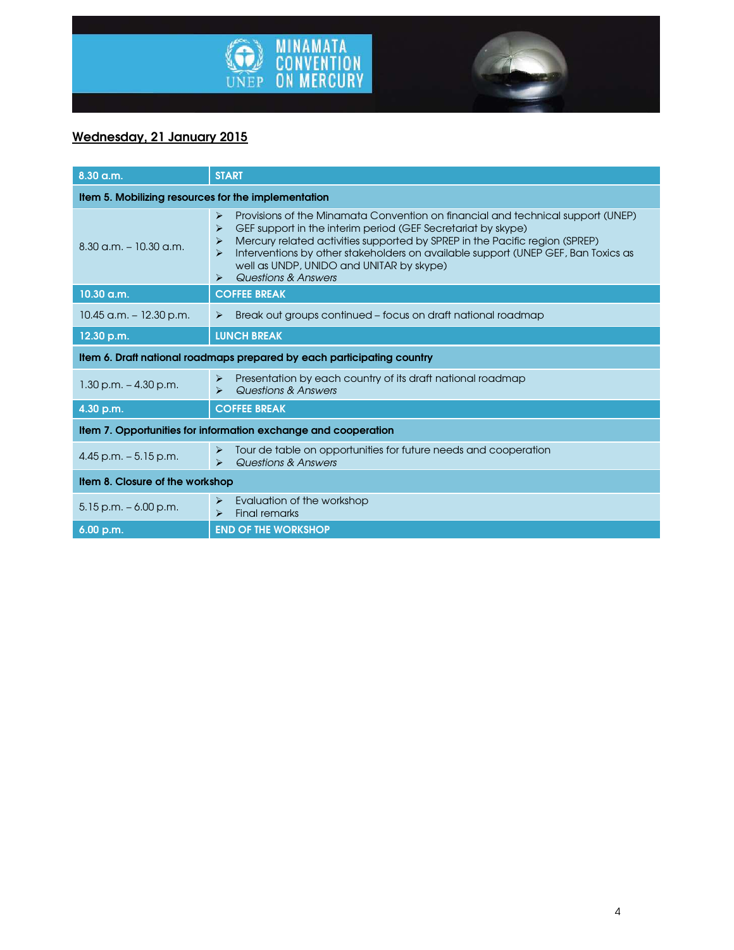



## Wednesday, 21 January 2015

| $8.30$ a.m.                                                            | <b>START</b>                                                                                                                                                                                                                                                                                                                                                                                                                                                                |  |
|------------------------------------------------------------------------|-----------------------------------------------------------------------------------------------------------------------------------------------------------------------------------------------------------------------------------------------------------------------------------------------------------------------------------------------------------------------------------------------------------------------------------------------------------------------------|--|
| Item 5. Mobilizing resources for the implementation                    |                                                                                                                                                                                                                                                                                                                                                                                                                                                                             |  |
| $8.30$ a.m. $-10.30$ a.m.                                              | Provisions of the Minamata Convention on financial and technical support (UNEP)<br>$\blacktriangleright$<br>GEF support in the interim period (GEF Secretariat by skype)<br>⋗<br>Mercury related activities supported by SPREP in the Pacific region (SPREP)<br>⋗<br>Interventions by other stakeholders on available support (UNEP GEF, Ban Toxics as<br>$\blacktriangleright$<br>well as UNDP, UNIDO and UNITAR by skype)<br>Questions & Answers<br>$\blacktriangleright$ |  |
| 10.30 a.m.                                                             | <b>COFFEE BREAK</b>                                                                                                                                                                                                                                                                                                                                                                                                                                                         |  |
| $10.45$ a.m. $-12.30$ p.m.                                             | Break out groups continued - focus on draft national roadmap<br>$\blacktriangleright$                                                                                                                                                                                                                                                                                                                                                                                       |  |
| 12.30 p.m.                                                             | <b>LUNCH BREAK</b>                                                                                                                                                                                                                                                                                                                                                                                                                                                          |  |
| Item 6. Draft national roadmaps prepared by each participating country |                                                                                                                                                                                                                                                                                                                                                                                                                                                                             |  |
| $1.30$ p.m. $-4.30$ p.m.                                               | Presentation by each country of its draft national roadmap<br>$\blacktriangleright$<br>Questions & Answers<br>$\blacktriangleright$                                                                                                                                                                                                                                                                                                                                         |  |
| 4.30 p.m.                                                              | <b>COFFEE BREAK</b>                                                                                                                                                                                                                                                                                                                                                                                                                                                         |  |
| Item 7. Opportunities for information exchange and cooperation         |                                                                                                                                                                                                                                                                                                                                                                                                                                                                             |  |
| $4.45$ p.m. $-5.15$ p.m.                                               | Tour de table on opportunities for future needs and cooperation<br>$\blacktriangleright$<br>Questions & Answers<br>$\blacktriangleright$                                                                                                                                                                                                                                                                                                                                    |  |
| Item 8. Closure of the workshop                                        |                                                                                                                                                                                                                                                                                                                                                                                                                                                                             |  |
| $5.15$ p.m. $-6.00$ p.m.                                               | Evaluation of the workshop<br>$\blacktriangleright$<br>$\blacktriangleright$<br><b>Final remarks</b>                                                                                                                                                                                                                                                                                                                                                                        |  |
| 6.00 p.m.                                                              | <b>END OF THE WORKSHOP</b>                                                                                                                                                                                                                                                                                                                                                                                                                                                  |  |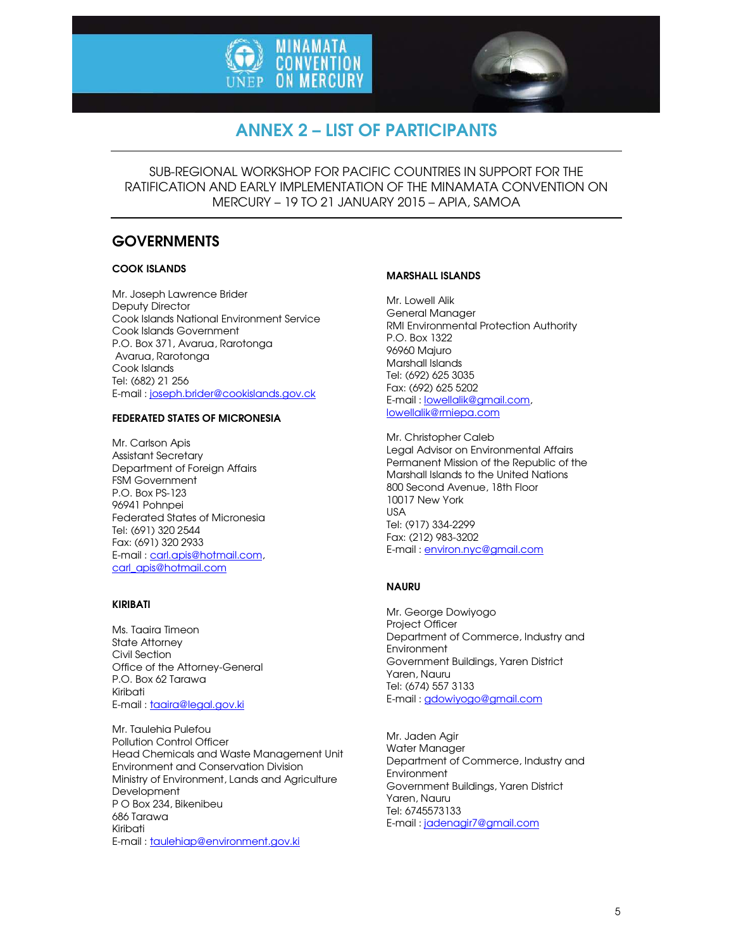



# ANNEX 2 – LIST OF PARTICIPANTS

SUB-REGIONAL WORKSHOP FOR PACIFIC COUNTRIES IN SUPPORT FOR THE RATIFICATION AND EARLY IMPLEMENTATION OF THE MINAMATA CONVENTION ON MERCURY – 19 TO 21 JANUARY 2015 – APIA, SAMOA

## **GOVERNMENTS**

#### COOK ISLANDS

Mr. Joseph Lawrence Brider Deputy Director Cook Islands National Environment Service Cook Islands Government P.O. Box 371, Avarua, Rarotonga Avarua, Rarotonga Cook Islands Tel: (682) 21 256 E-mail : joseph.brider@cookislands.gov.ck

#### FEDERATED STATES OF MICRONESIA

Mr. Carlson Apis Assistant Secretary Department of Foreign Affairs FSM Government P.O. Box PS-123 96941 Pohnpei Federated States of Micronesia Tel: (691) 320 2544 Fax: (691) 320 2933 E-mail : carl.apis@hotmail.com, carl\_apis@hotmail.com

#### KIRIBATI

Ms. Taaira Timeon State Attorney Civil Section Office of the Attorney-General P.O. Box 62 Tarawa Kiribati E-mail : taaira@legal.gov.ki

Mr. Taulehia Pulefou Pollution Control Officer Head Chemicals and Waste Management Unit Environment and Conservation Division Ministry of Environment, Lands and Agriculture Development P O Box 234, Bikenibeu 686 Tarawa Kiribati E-mail : taulehiap@environment.gov.ki

#### MARSHALL ISLANDS

Mr. Lowell Alik General Manager RMI Environmental Protection Authority P.O. Box 1322 96960 Majuro Marshall Islands Tel: (692) 625 3035 Fax: (692) 625 5202 E-mail : lowellalik@gmail.com, lowellalik@rmiepa.com

Mr. Christopher Caleb Legal Advisor on Environmental Affairs Permanent Mission of the Republic of the Marshall Islands to the United Nations 800 Second Avenue, 18th Floor 10017 New York USA Tel: (917) 334-2299 Fax: (212) 983-3202 E-mail : environ.nyc@gmail.com

#### NAURU

Mr. George Dowiyogo Project Officer Department of Commerce, Industry and Environment Government Buildings, Yaren District Yaren, Nauru Tel: (674) 557 3133 E-mail : gdowiyogo@gmail.com

Mr. Jaden Agir Water Manager Department of Commerce, Industry and **Environment** Government Buildings, Yaren District Yaren, Nauru Tel: 6745573133 E-mail : jadenagir7@gmail.com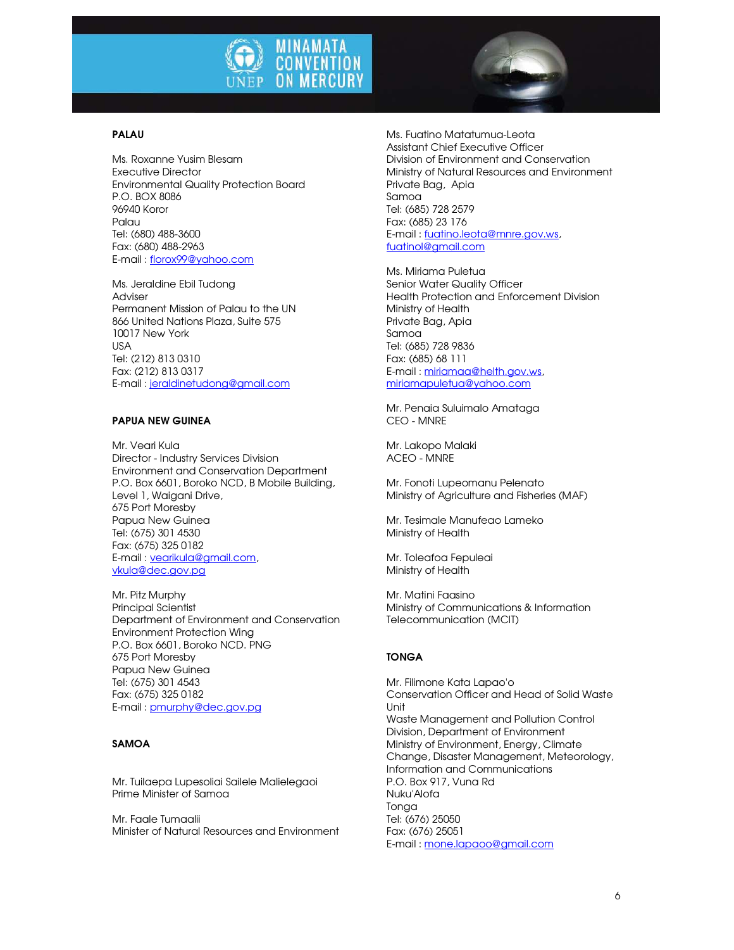



#### PALAU

Ms. Roxanne Yusim Blesam Executive Director Environmental Quality Protection Board P.O. BOX 8086 96940 Koror Palau Tel: (680) 488-3600 Fax: (680) 488-2963 E-mail : florox99@yahoo.com

Ms. Jeraldine Ebil Tudong Adviser Permanent Mission of Palau to the UN 866 United Nations Plaza, Suite 575 10017 New York USA Tel: (212) 813 0310 Fax: (212) 813 0317 E-mail : jeraldinetudong@gmail.com

#### PAPUA NEW GUINEA

Mr. Veari Kula Director - Industry Services Division Environment and Conservation Department P.O. Box 6601, Boroko NCD, B Mobile Building, Level 1, Waigani Drive, 675 Port Moresby Papua New Guinea Tel: (675) 301 4530 Fax: (675) 325 0182 E-mail : vearikula@gmail.com, vkula@dec.gov.pg

Mr. Pitz Murphy Principal Scientist Department of Environment and Conservation Environment Protection Wing P.O. Box 6601, Boroko NCD. PNG 675 Port Moresby Papua New Guinea Tel: (675) 301 4543 Fax: (675) 325 0182 E-mail : pmurphy@dec.gov.pg

#### SAMOA

Mr. Tuilaepa Lupesoliai Sailele Malielegaoi Prime Minister of Samoa

Mr. Faale Tumaalii Minister of Natural Resources and Environment Ms. Fuatino Matatumua-Leota Assistant Chief Executive Officer Division of Environment and Conservation Ministry of Natural Resources and Environment Private Bag, Apia Samoa Tel: (685) 728 2579 Fax: (685) 23 176 E-mail : fuatino.leota@mnre.gov.ws, fuatinol@gmail.com

Ms. Miriama Puletua Senior Water Quality Officer Health Protection and Enforcement Division Ministry of Health Private Bag, Apia Samoa Tel: (685) 728 9836 Fax: (685) 68 111 E-mail : miriamaa@helth.gov.ws, miriamapuletua@yahoo.com

Mr. Penaia Suluimalo Amataga CEO - MNRE

Mr. Lakopo Malaki ACEO - MNRE

Mr. Fonoti Lupeomanu Pelenato Ministry of Agriculture and Fisheries (MAF)

Mr. Tesimale Manufeao Lameko Ministry of Health

Mr. Toleafoa Fepuleai Ministry of Health

Mr. Matini Faasino Ministry of Communications & Information Telecommunication (MCIT)

#### TONGA

Mr. Filimone Kata Lapao'o Conservation Officer and Head of Solid Waste Unit Waste Management and Pollution Control Division, Department of Environment Ministry of Environment, Energy, Climate Change, Disaster Management, Meteorology, Information and Communications P.O. Box 917, Vuna Rd Nuku'Alofa Tonga Tel: (676) 25050 Fax: (676) 25051 E-mail : mone.lapaoo@gmail.com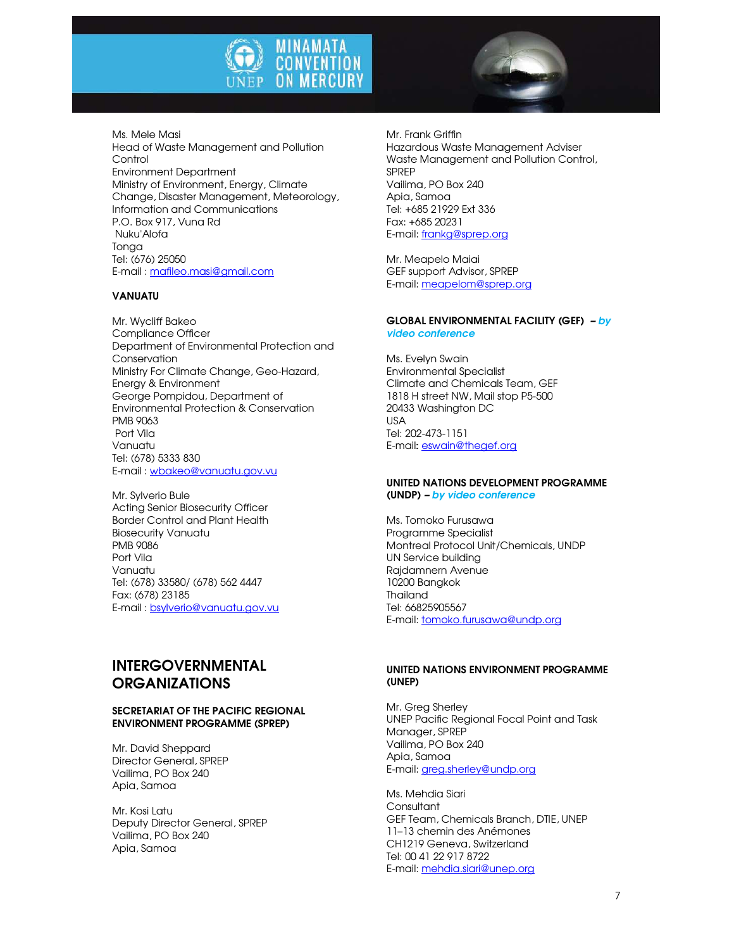



Ms. Mele Masi Head of Waste Management and Pollution **Control** Environment Department Ministry of Environment, Energy, Climate Change, Disaster Management, Meteorology, Information and Communications P.O. Box 917, Vuna Rd Nuku'Alofa **Tonga** Tel: (676) 25050 E-mail : mafileo.masi@gmail.com

#### VANUATU

Mr. Wycliff Bakeo Compliance Officer Department of Environmental Protection and Conservation Ministry For Climate Change, Geo-Hazard, Energy & Environment George Pompidou, Department of Environmental Protection & Conservation PMB 9063 Port Vila Vanuatu Tel: (678) 5333 830 E-mail : wbakeo@vanuatu.gov.vu

Mr. Sylverio Bule Acting Senior Biosecurity Officer Border Control and Plant Health Biosecurity Vanuatu PMB 9086 Port Vila Vanuatu Tel: (678) 33580/ (678) 562 4447 Fax: (678) 23185 E-mail : bsylverio@vanuatu.gov.vu

## INTERGOVERNMENTAL **ORGANIZATIONS**

#### SECRETARIAT OF THE PACIFIC REGIONAL ENVIRONMENT PROGRAMME (SPREP)

Mr. David Sheppard Director General, SPREP Vailima, PO Box 240 Apia, Samoa

Mr. Kosi Latu Deputy Director General, SPREP Vailima, PO Box 240 Apia, Samoa

Mr. Frank Griffin Hazardous Waste Management Adviser Waste Management and Pollution Control, SPREP Vailima, PO Box 240 Apia, Samoa Tel: +685 21929 Ext 336 Fax: +685 20231 E-mail: frankg@sprep.org

Mr. Meapelo Maiai GEF support Advisor, SPREP E-mail: meapelom@sprep.org

#### GLOBAL ENVIRONMENTAL FACILITY (GEF) – by video conference

Ms. Evelyn Swain Environmental Specialist Climate and Chemicals Team, GEF 1818 H street NW, Mail stop P5-500 20433 Washington DC USA Tel: 202-473-1151 E-mail: eswain@thegef.org

#### UNITED NATIONS DEVELOPMENT PROGRAMME (UNDP) – by video conference

Ms. Tomoko Furusawa Programme Specialist Montreal Protocol Unit/Chemicals, UNDP UN Service building Rajdamnern Avenue 10200 Bangkok Thailand Tel: 66825905567 E-mail: tomoko.furusawa@undp.org

#### UNITED NATIONS ENVIRONMENT PROGRAMME (UNEP)

Mr. Greg Sherley UNEP Pacific Regional Focal Point and Task Manager, SPREP Vailima, PO Box 240 Apia, Samoa E-mail: greg.sherley@undp.org

Ms. Mehdia Siari **Consultant** GEF Team, Chemicals Branch, DTIE, UNEP 11–13 chemin des Anémones CH1219 Geneva, Switzerland Tel: 00 41 22 917 8722 E-mail: mehdia.siari@unep.org